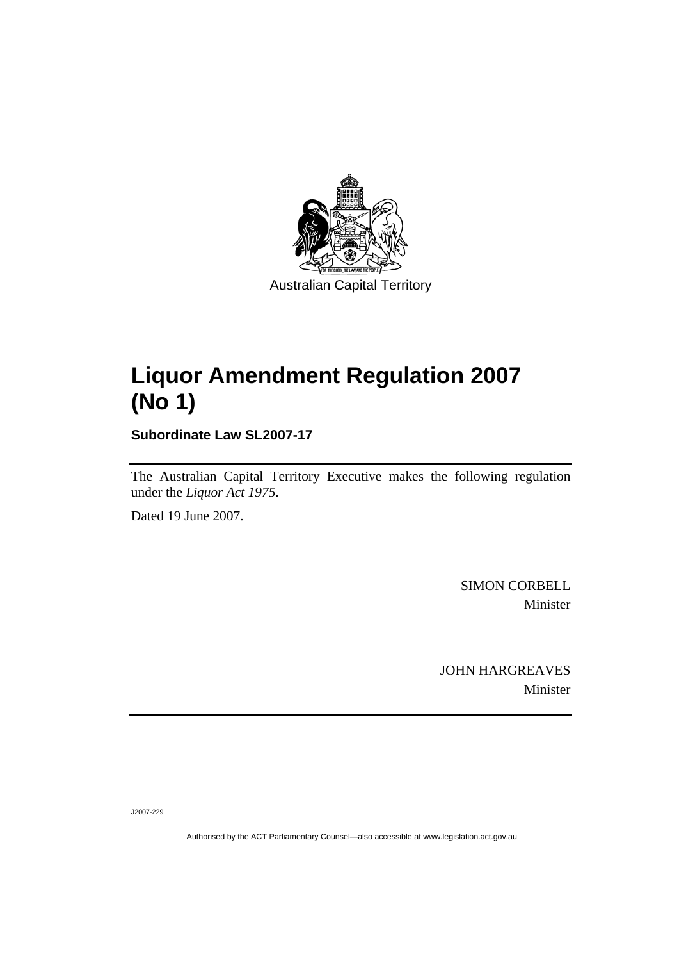

# **Liquor Amendment Regulation 2007 (No 1)**

**Subordinate Law SL2007-17** 

The Australian Capital Territory Executive makes the following regulation under the *Liquor Act 1975*.

Dated 19 June 2007.

SIMON CORBELL Minister

JOHN HARGREAVES Minister

J2007-229

Authorised by the ACT Parliamentary Counsel—also accessible at www.legislation.act.gov.au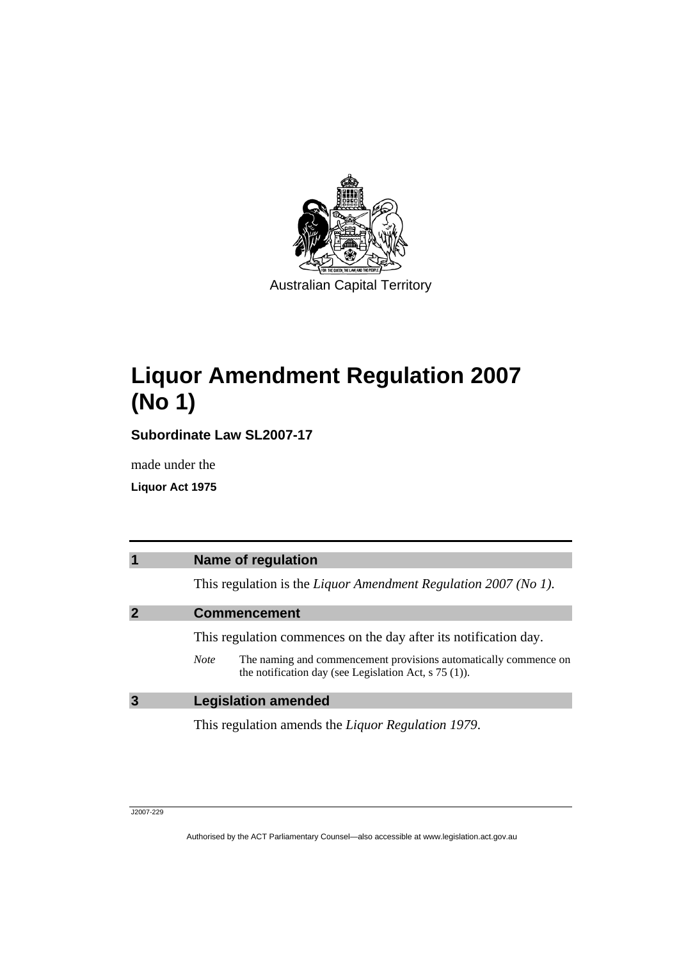

# **Liquor Amendment Regulation 2007 (No 1)**

**Subordinate Law SL2007-17** 

made under the

**Liquor Act 1975** 

| $\overline{\mathbf{1}}$ | <b>Name of regulation</b>                                                                                                                  |
|-------------------------|--------------------------------------------------------------------------------------------------------------------------------------------|
|                         | This regulation is the Liquor Amendment Regulation 2007 (No 1).                                                                            |
| $\overline{2}$          | <b>Commencement</b>                                                                                                                        |
|                         | This regulation commences on the day after its notification day.                                                                           |
|                         | The naming and commencement provisions automatically commence on<br><b>Note</b><br>the notification day (see Legislation Act, $s$ 75 (1)). |
| $\overline{3}$          | <b>Legislation amended</b>                                                                                                                 |
|                         | This regulation amends the <i>Liquor Regulation 1979</i> .                                                                                 |

J2007-229

Authorised by the ACT Parliamentary Counsel—also accessible at www.legislation.act.gov.au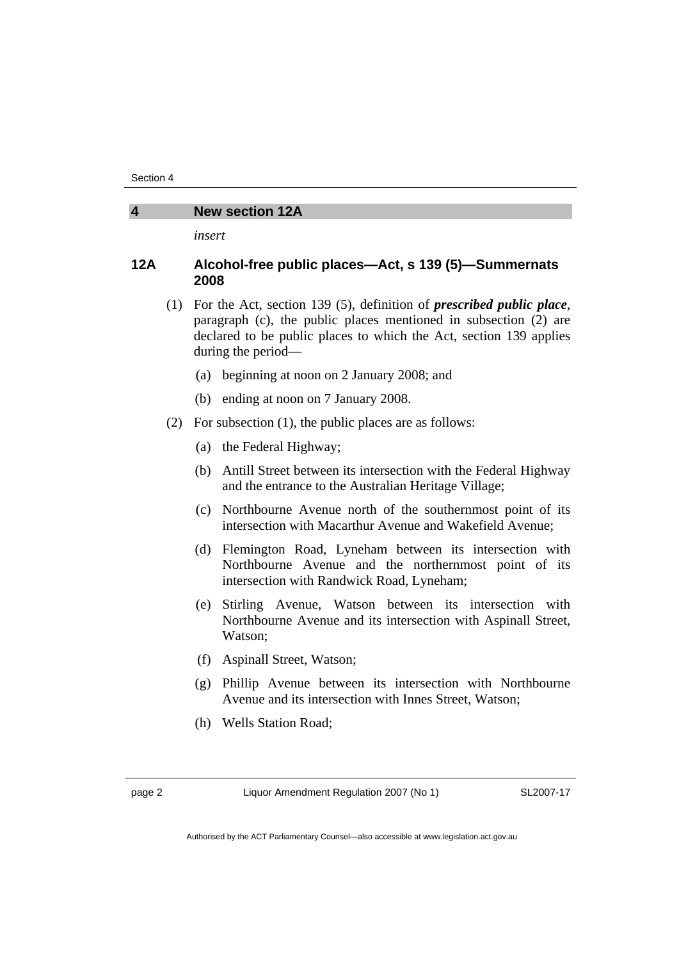#### **4 New section 12A**

*insert* 

## **12A Alcohol-free public places—Act, s 139 (5)—Summernats 2008**

- (1) For the Act, section 139 (5), definition of *prescribed public place*, paragraph (c), the public places mentioned in subsection (2) are declared to be public places to which the Act, section 139 applies during the period—
	- (a) beginning at noon on 2 January 2008; and
	- (b) ending at noon on 7 January 2008.
- (2) For subsection (1), the public places are as follows:
	- (a) the Federal Highway;
	- (b) Antill Street between its intersection with the Federal Highway and the entrance to the Australian Heritage Village;
	- (c) Northbourne Avenue north of the southernmost point of its intersection with Macarthur Avenue and Wakefield Avenue;
	- (d) Flemington Road, Lyneham between its intersection with Northbourne Avenue and the northernmost point of its intersection with Randwick Road, Lyneham;
	- (e) Stirling Avenue, Watson between its intersection with Northbourne Avenue and its intersection with Aspinall Street, Watson;
	- (f) Aspinall Street, Watson;
	- (g) Phillip Avenue between its intersection with Northbourne Avenue and its intersection with Innes Street, Watson;
	- (h) Wells Station Road;

page 2 Liquor Amendment Regulation 2007 (No 1)

SL2007-17